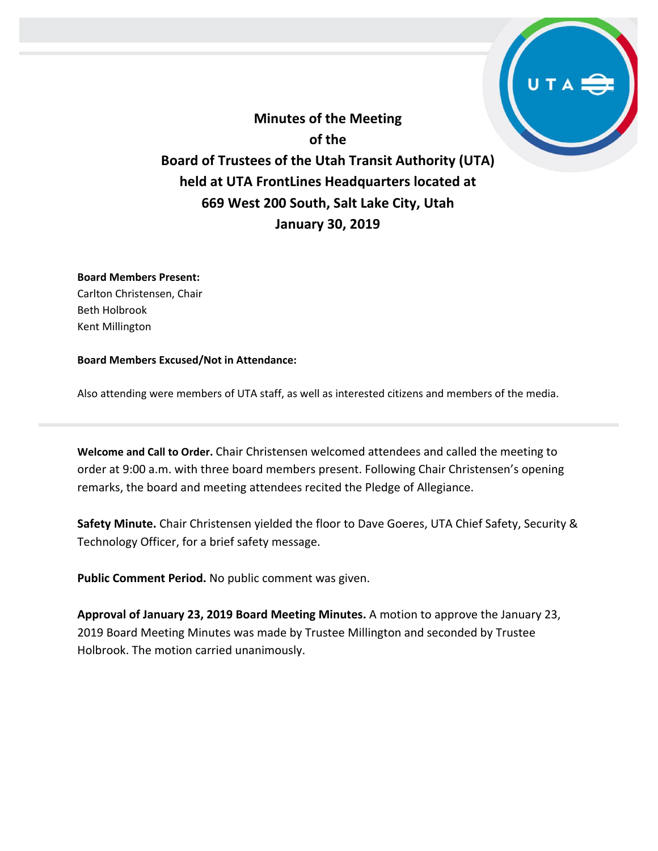**Minutes of the Meeting of the Board of Trustees of the Utah Transit Authority (UTA) held at UTA FrontLines Headquarters located at 669 West 200 South, Salt Lake City, Utah January 30, 2019**

**Board Members Present:**

Carlton Christensen, Chair Beth Holbrook Kent Millington

**Board Members Excused/Not in Attendance:** 

Also attending were members of UTA staff, as well as interested citizens and members of the media.

**Welcome and Call to Order.** Chair Christensen welcomed attendees and called the meeting to order at 9:00 a.m. with three board members present. Following Chair Christensen's opening remarks, the board and meeting attendees recited the Pledge of Allegiance.

**Safety Minute.** Chair Christensen yielded the floor to Dave Goeres, UTA Chief Safety, Security & Technology Officer, for a brief safety message.

**Public Comment Period.** No public comment was given.

**Approval of January 23, 2019 Board Meeting Minutes.** A motion to approve the January 23, 2019 Board Meeting Minutes was made by Trustee Millington and seconded by Trustee Holbrook. The motion carried unanimously.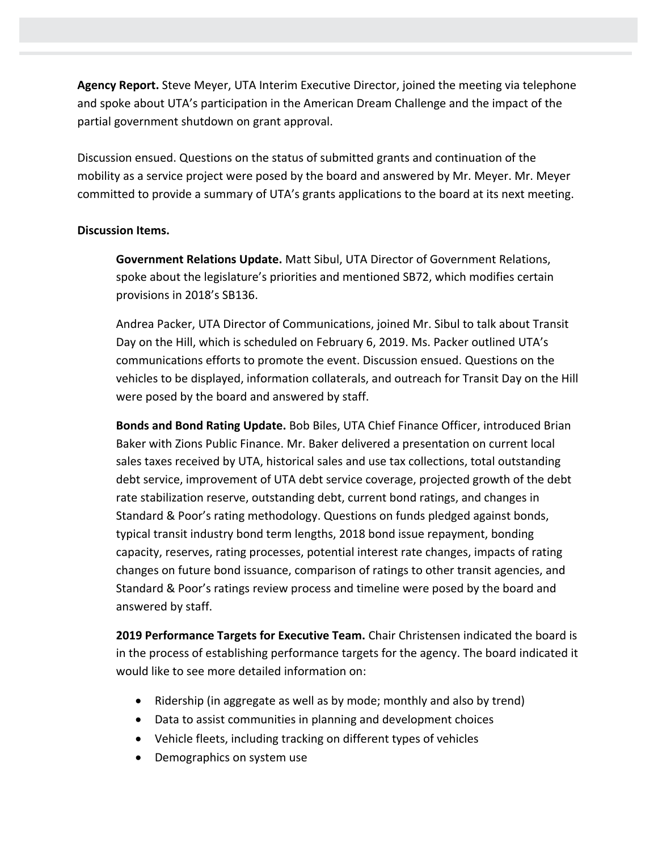**Agency Report.** Steve Meyer, UTA Interim Executive Director, joined the meeting via telephone and spoke about UTA's participation in the American Dream Challenge and the impact of the partial government shutdown on grant approval.

Discussion ensued. Questions on the status of submitted grants and continuation of the mobility as a service project were posed by the board and answered by Mr. Meyer. Mr. Meyer committed to provide a summary of UTA's grants applications to the board at its next meeting.

## **Discussion Items.**

**Government Relations Update.** Matt Sibul, UTA Director of Government Relations, spoke about the legislature's priorities and mentioned SB72, which modifies certain provisions in 2018's SB136.

Andrea Packer, UTA Director of Communications, joined Mr. Sibul to talk about Transit Day on the Hill, which is scheduled on February 6, 2019. Ms. Packer outlined UTA's communications efforts to promote the event. Discussion ensued. Questions on the vehicles to be displayed, information collaterals, and outreach for Transit Day on the Hill were posed by the board and answered by staff.

**Bonds and Bond Rating Update.** Bob Biles, UTA Chief Finance Officer, introduced Brian Baker with Zions Public Finance. Mr. Baker delivered a presentation on current local sales taxes received by UTA, historical sales and use tax collections, total outstanding debt service, improvement of UTA debt service coverage, projected growth of the debt rate stabilization reserve, outstanding debt, current bond ratings, and changes in Standard & Poor's rating methodology. Questions on funds pledged against bonds, typical transit industry bond term lengths, 2018 bond issue repayment, bonding capacity, reserves, rating processes, potential interest rate changes, impacts of rating changes on future bond issuance, comparison of ratings to other transit agencies, and Standard & Poor's ratings review process and timeline were posed by the board and answered by staff.

**2019 Performance Targets for Executive Team.** Chair Christensen indicated the board is in the process of establishing performance targets for the agency. The board indicated it would like to see more detailed information on:

- Ridership (in aggregate as well as by mode; monthly and also by trend)
- Data to assist communities in planning and development choices
- Vehicle fleets, including tracking on different types of vehicles
- Demographics on system use